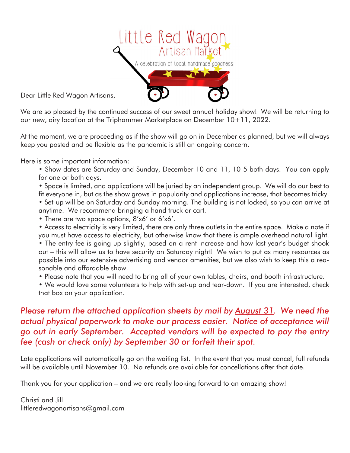

Dear Little Red Wagon Artisans,

We are so pleased by the continued success of our sweet annual holiday show! We will be returning to our new, airy location at the Triphammer Marketplace on December 10+11, 2022.

At the moment, we are proceeding as if the show will go on in December as planned, but we will always keep you posted and be flexible as the pandemic is still an ongoing concern.

Here is some important information:

- Show dates are Saturday and Sunday, December 10 and 11, 10-5 both days. You can apply for one or both days.
- Space is limited, and applications will be juried by an independent group. We will do our best to fit everyone in, but as the show grows in popularity and applications increase, that becomes tricky.
- Set-up will be on Saturday and Sunday morning. The building is not locked, so you can arrive at anytime. We recommend bringing a hand truck or cart.
- There are two space options, 8'x6' or 6'x6'.

• Access to electricity is very limited, there are only three outlets in the entire space. Make a note if you must have access to electricity, but otherwise know that there is ample overhead natural light. • The entry fee is going up slightly, based on a rent increase and how last year's budget shook out – this will allow us to have security on Saturday night! We wish to put as many resources as possible into our extensive advertising and vendor amenities, but we also wish to keep this a reasonable and affordable show.

- Please note that you will need to bring all of your own tables, chairs, and booth infrastructure.
- We would love some volunteers to help with set-up and tear-down. If you are interested, check that box on your application.

## *Please return the attached application sheets by mail by August 31. We need the actual physical paperwork to make our process easier. Notice of acceptance will go out in early September. Accepted vendors will be expected to pay the entry fee (cash or check only) by September 30 or forfeit their spot.*

Late applications will automatically go on the waiting list. In the event that you must cancel, full refunds will be available until November 10. No refunds are available for concellations after that date.

Thank you for your application – and we are really looking forward to an amazing show!

Christi and Jill littleredwagonartisans@gmail.com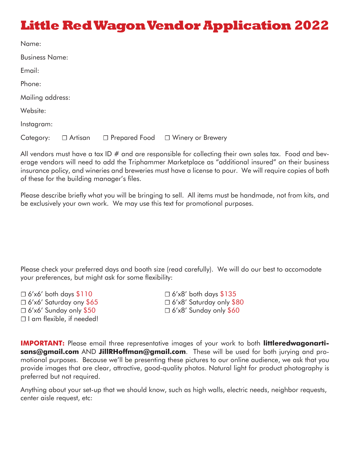## **Little Red Wagon Vendor Application 2022**

| Name:                 |                |  |                                     |  |
|-----------------------|----------------|--|-------------------------------------|--|
| <b>Business Name:</b> |                |  |                                     |  |
| Email:                |                |  |                                     |  |
| Phone:                |                |  |                                     |  |
| Mailing address:      |                |  |                                     |  |
| Website:              |                |  |                                     |  |
| Instagram:            |                |  |                                     |  |
| Category:             | $\Box$ Artisan |  | □ Prepared Food □ Winery or Brewery |  |

All vendors must have a tax ID  $#$  and are responsible for collecting their own sales tax. Food and beverage vendors will need to add the Triphammer Marketplace as "additional insured" on their business insurance policy, and wineries and breweries must have a license to pour. We will require copies of both of these for the building manager's files.

Please describe briefly what you will be bringing to sell. All items must be handmade, not from kits, and be exclusively your own work. We may use this text for promotional purposes.

Please check your preferred days and booth size (read carefully). We will do our best to accomodate your preferences, but might ask for some flexibility:

 $\Box$  6'x6' both days \$110  $\Box$  6'x8' both days \$135  $\Box$  6'x6' Saturday ony \$65  $\Box$  6'x8' Saturday only \$1 ☐ 6'x6' Sunday only \$50 ☐ 6'x8' Sunday only \$60 ☐ I am flexible, if needed!

☐ 6'x6' Saturday ony \$65 ☐ 6'x8' Saturday only \$80

**IMPORTANT:** Please email three representative images of your work to both **littleredwagonartisans@gmail.com** AND **JillRHoffman@gmail.com**. These will be used for both jurying and promotional purposes. Because we'll be presenting these pictures to our online audience, we ask that you provide images that are clear, attractive, good-quality photos. Natural light for product photography is preferred but not required.

Anything about your set-up that we should know, such as high walls, electric needs, neighbor requests, center aisle request, etc: